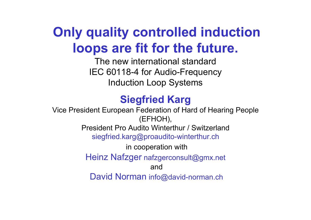# **Only quality controlled induction loops are fit for the future.**

The new international standardIEC 60118-4 for Audio-Frequency Induction Loop Systems

### **Siegfried Karg**

Vice President European Federation of Hard of Hearing People (EFHOH), President Pro Audito Winterthur / Switzerlandsiegfried.karg@proaudito-winterthur.ch in cooperation with Heinz Nafzger nafzgerconsult@gmx.net andDavid Norman info@david-norman.ch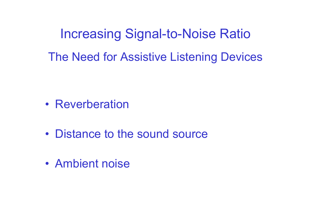Increasing Signal-to-Noise Ratio The Need for Assistive Listening Devices

- Reverberation
- Distance to the sound source
- Ambient noise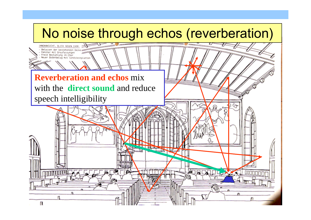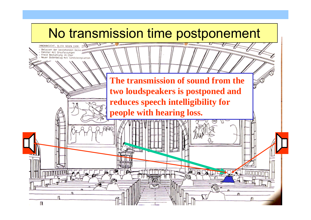# No transmission time postponement INNENINSIOHT, BLICK GEGEN CHOR Belassen der bestabendan De Fenster mit Graufassungen Freie Bestuhlung im Chor Neuer Bodenbelag mit Sandsteinp **The transmission of sound from the two loudspeakers is postponed and reduces speech intelligibility for people with hearing loss.**ன் வா п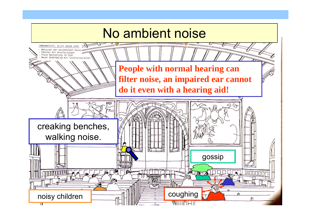# No ambient noise

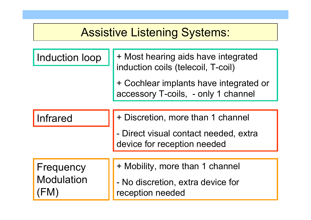### Assistive Listening Systems:

| Induction loop |  |  |  |  |
|----------------|--|--|--|--|
|----------------|--|--|--|--|

+ Most hearing aids have integrated induction coils (telecoil, T-coil)

+ Cochlear implants have integrated or accessory T-coils, - only 1 channel

| Infrared | $\ \cdot\ $ + Discretion, more than 1 channel |
|----------|-----------------------------------------------|
|          |                                               |

- Direct visual contact needed, extra device for reception needed

**Frequency** Modulation (FM)

- + Mobility, more than 1 channel
- - No discretion, extra device for reception needed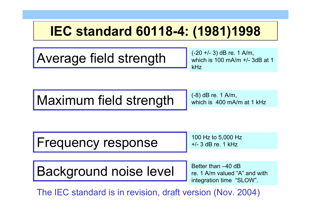# **IEC standard 60118-4: (1981)1998**

Average field strength

(-20 +/- 3) dB re. 1 A/m, which is 100 mA/m +/- 3dB at 1 kHz

Maximum field strength

(-8) dB re. 1 A/m, which is 400 mA/m at 1 kHz

Frequency response

100 Hz to 5,000 Hz +/- 3 dB re. 1 kHz

Background noise level

Better than  $-40$  dB re. 1 A/m valued "A" and with integration time "SLOW".

The IEC standard is in revision, draft version (Nov. 2004)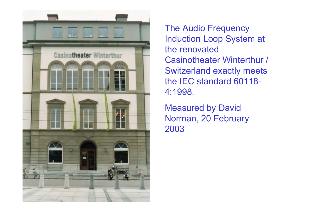

The Audio Frequency Induction Loop System at the renovated Casinotheater Winterthur / Switzerland exactly meets the IEC standard 60118-4:1998.

Measured by David Norman, 20 February 2003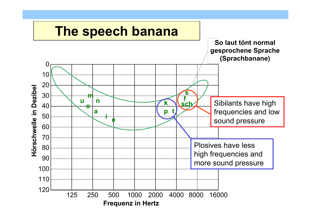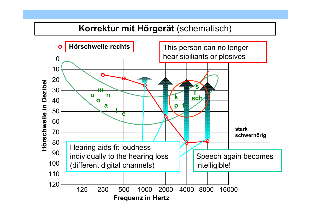#### Korrektur mit Hörgerät (schematisch)

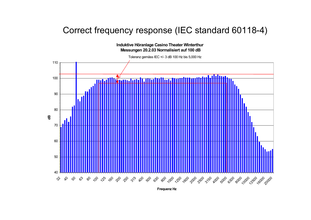#### Correct frequency response (IEC standard 60118-4)

#### **Induktive Höranlage Casino Theater Winterthur Messungen 20.2.03 Normalisiert auf 100 dB**





**Frequenz Hz**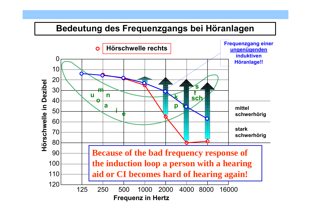#### Bedeutung des Frequenzgangs bei Höranlagen

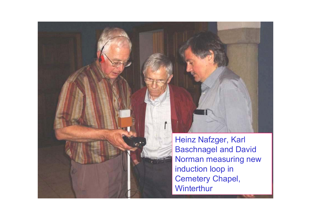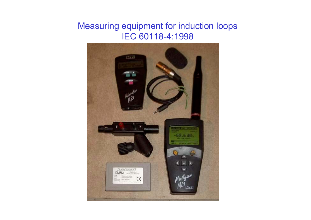#### Measuring equipment for induction loops IEC 60118-4:1998

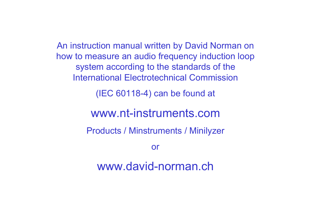An instruction manual written by David Norman on how to measure an audio frequency induction loop system according to the standards of the International Electrotechnical Commission

(IEC 60118-4) can be found at

### www.nt-instruments.com

Products / Minstruments / Minilyzer

or

www.david-norman.ch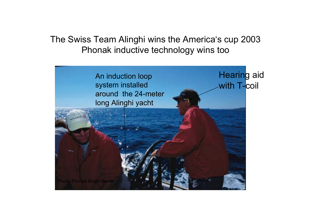The Swiss Team Alinghi wins the America's cup 2003 Phonak inductive technology wins too

> An induction loop system installed around the 24-meter long Alinghi yacht

**Hearing aid** with T-coil

Photo: Phonak Media Center**Photo And All States and Activity of the Activity of Activity**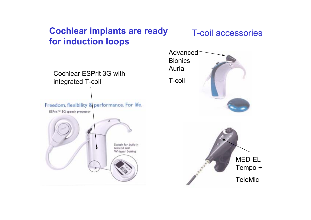#### **Cochlear implants are ready for induction loops**

#### T-coil accessories

Cochlear ESPrit 3G withintegrated T-coil

Freedom, flexibility & performance. For life.

ESPrit<sup>TM</sup> 3G speech processor



Advanced**Bionics** AuriaT-coilMED-EL Tempo + **TeleMic**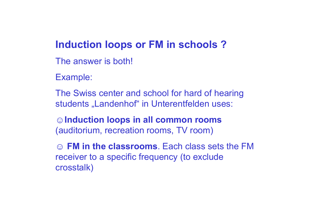### **Induction loops or FM in schools ?**

- The answer is both!
- Example:
- The Swiss center and school for hard of hearing students "Landenhof" in Unterentfelden uses:
- **☺Induction loops in all common rooms** (auditorium, recreation rooms, TV room)
- **☺ FM in the classrooms**. Each class sets the FM receiver to a specific frequency (to exclude crosstalk)